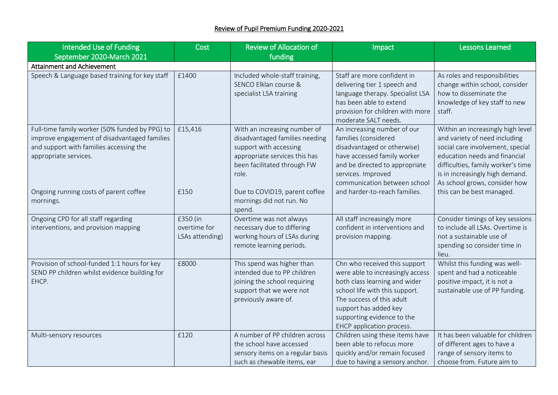| Intended Use of Funding                                                                                                                                            | Cost                                        | <b>Review of Allocation of</b>                                                                                                                                    | Impact                                                                                                                                                                                                                                                | <b>Lessons Learned</b>                                                                                                                                                                                                                            |
|--------------------------------------------------------------------------------------------------------------------------------------------------------------------|---------------------------------------------|-------------------------------------------------------------------------------------------------------------------------------------------------------------------|-------------------------------------------------------------------------------------------------------------------------------------------------------------------------------------------------------------------------------------------------------|---------------------------------------------------------------------------------------------------------------------------------------------------------------------------------------------------------------------------------------------------|
| September 2020-March 2021                                                                                                                                          |                                             | funding                                                                                                                                                           |                                                                                                                                                                                                                                                       |                                                                                                                                                                                                                                                   |
| <b>Attainment and Achievement</b>                                                                                                                                  |                                             |                                                                                                                                                                   |                                                                                                                                                                                                                                                       |                                                                                                                                                                                                                                                   |
| Speech & Language based training for key staff                                                                                                                     | £1400                                       | Included whole-staff training,<br>SENCO Elklan course &<br>specialist LSA training                                                                                | Staff are more confident in<br>delivering tier 1 speech and<br>language therapy. Specialist LSA<br>has been able to extend<br>provision for children with more<br>moderate SALT needs.                                                                | As roles and responsibilities<br>change within school, consider<br>how to disseminate the<br>knowledge of key staff to new<br>staff.                                                                                                              |
| Full-time family worker (50% funded by PPG) to<br>improve engagement of disadvantaged families<br>and support with families accessing the<br>appropriate services. | £15,416                                     | With an increasing number of<br>disadvantaged families needing<br>support with accessing<br>appropriate services this has<br>been facilitated through FW<br>role. | An increasing number of our<br>families (considered<br>disadvantaged or otherwise)<br>have accessed family worker<br>and be directed to appropriate<br>services. Improved<br>communication between school                                             | Within an increasingly high level<br>and variety of need including<br>social care involvement, special<br>education needs and financial<br>difficulties, family worker's time<br>is in increasingly high demand.<br>As school grows, consider how |
| Ongoing running costs of parent coffee<br>mornings.                                                                                                                | £150                                        | Due to COVID19, parent coffee<br>mornings did not run. No<br>spend.                                                                                               | and harder-to-reach families.                                                                                                                                                                                                                         | this can be best managed.                                                                                                                                                                                                                         |
| Ongoing CPD for all staff regarding<br>interventions, and provision mapping                                                                                        | £350 (in<br>overtime for<br>LSAs attending) | Overtime was not always<br>necessary due to differing<br>working hours of LSAs during<br>remote learning periods.                                                 | All staff increasingly more<br>confident in interventions and<br>provision mapping.                                                                                                                                                                   | Consider timings of key sessions<br>to include all LSAs. Overtime is<br>not a sustainable use of<br>spending so consider time in<br>lieu.                                                                                                         |
| Provision of school-funded 1:1 hours for key<br>SEND PP children whilst evidence building for<br>EHCP.                                                             | £8000                                       | This spend was higher than<br>intended due to PP children<br>joining the school requiring<br>support that we were not<br>previously aware of.                     | Chn who received this support<br>were able to increasingly access<br>both class learning and wider<br>school life with this support.<br>The success of this adult<br>support has added key<br>supporting evidence to the<br>EHCP application process. | Whilst this funding was well-<br>spent and had a noticeable<br>positive impact, it is not a<br>sustainable use of PP funding.                                                                                                                     |
| Multi-sensory resources                                                                                                                                            | £120                                        | A number of PP children across<br>the school have accessed<br>sensory items on a regular basis<br>such as chewable items, ear                                     | Children using these items have<br>been able to refocus more<br>quickly and/or remain focused<br>due to having a sensory anchor.                                                                                                                      | It has been valuable for children<br>of different ages to have a<br>range of sensory items to<br>choose from. Future aim to                                                                                                                       |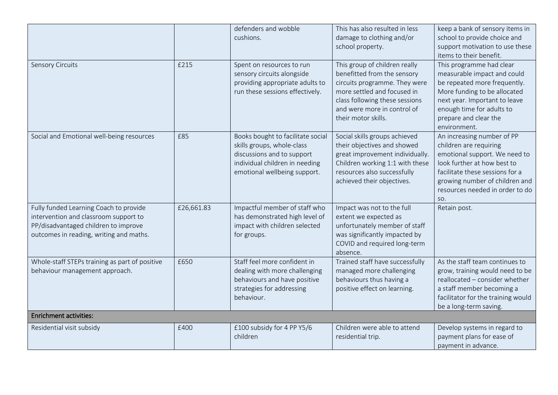|                                                                                                                                                                    |            | defenders and wobble<br>cushions.                                                                                                                               | This has also resulted in less<br>damage to clothing and/or<br>school property.                                                                                                                                      | keep a bank of sensory items in<br>school to provide choice and<br>support motivation to use these<br>items to their benefit.                                                                                                       |  |  |
|--------------------------------------------------------------------------------------------------------------------------------------------------------------------|------------|-----------------------------------------------------------------------------------------------------------------------------------------------------------------|----------------------------------------------------------------------------------------------------------------------------------------------------------------------------------------------------------------------|-------------------------------------------------------------------------------------------------------------------------------------------------------------------------------------------------------------------------------------|--|--|
| <b>Sensory Circuits</b>                                                                                                                                            | £215       | Spent on resources to run<br>sensory circuits alongside<br>providing appropriate adults to<br>run these sessions effectively.                                   | This group of children really<br>benefitted from the sensory<br>circuits programme. They were<br>more settled and focused in<br>class following these sessions<br>and were more in control of<br>their motor skills. | This programme had clear<br>measurable impact and could<br>be repeated more frequently.<br>More funding to be allocated<br>next year. Important to leave<br>enough time for adults to<br>prepare and clear the<br>environment.      |  |  |
| Social and Emotional well-being resources                                                                                                                          | £85        | Books bought to facilitate social<br>skills groups, whole-class<br>discussions and to support<br>individual children in needing<br>emotional wellbeing support. | Social skills groups achieved<br>their objectives and showed<br>great improvement individually.<br>Children working 1:1 with these<br>resources also successfully<br>achieved their objectives.                      | An increasing number of PP<br>children are requiring<br>emotional support. We need to<br>look further at how best to<br>facilitate these sessions for a<br>growing number of children and<br>resources needed in order to do<br>SO. |  |  |
| Fully funded Learning Coach to provide<br>intervention and classroom support to<br>PP/disadvantaged children to improve<br>outcomes in reading, writing and maths. | £26,661.83 | Impactful member of staff who<br>has demonstrated high level of<br>impact with children selected<br>for groups.                                                 | Impact was not to the full<br>extent we expected as<br>unfortunately member of staff<br>was significantly impacted by<br>COVID and required long-term<br>absence.                                                    | Retain post.                                                                                                                                                                                                                        |  |  |
| Whole-staff STEPs training as part of positive<br>behaviour management approach.                                                                                   | £650       | Staff feel more confident in<br>dealing with more challenging<br>behaviours and have positive<br>strategies for addressing<br>behaviour.                        | Trained staff have successfully<br>managed more challenging<br>behaviours thus having a<br>positive effect on learning.                                                                                              | As the staff team continues to<br>grow, training would need to be<br>reallocated - consider whether<br>a staff member becoming a<br>facilitator for the training would<br>be a long-term saving.                                    |  |  |
| <b>Enrichment activities:</b>                                                                                                                                      |            |                                                                                                                                                                 |                                                                                                                                                                                                                      |                                                                                                                                                                                                                                     |  |  |
| Residential visit subsidy                                                                                                                                          | £400       | £100 subsidy for 4 PP Y5/6<br>children                                                                                                                          | Children were able to attend<br>residential trip.                                                                                                                                                                    | Develop systems in regard to<br>payment plans for ease of<br>payment in advance.                                                                                                                                                    |  |  |